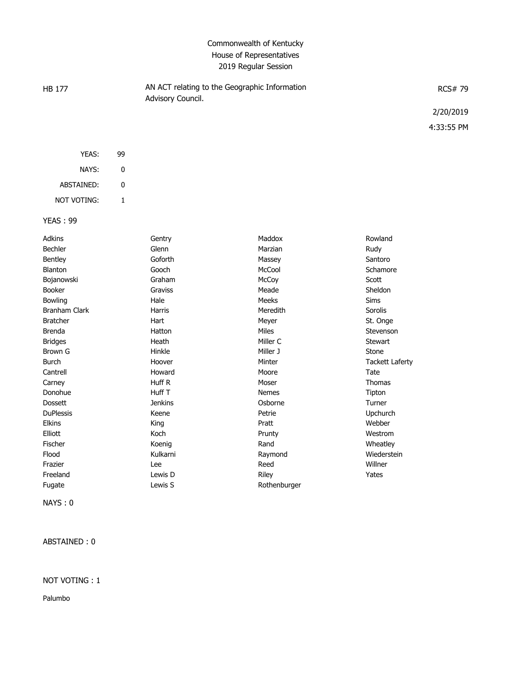# Commonwealth of Kentucky House of Representatives 2019 Regular Session

| HB 177 | AN ACT relating to the Geographic Information<br>Advisory Council. | <b>RCS#79</b> |  |  |
|--------|--------------------------------------------------------------------|---------------|--|--|
|        |                                                                    | 2/20/2019     |  |  |
|        |                                                                    | 4:33:55 PM    |  |  |
|        |                                                                    |               |  |  |

| YEAS:             | 99 |
|-------------------|----|
| NAYS:             | U  |
| <b>ABSTAINED:</b> | O  |
| not voting:       |    |

### YEAS : 99

| <b>Adkins</b>        | Gentry         | Maddox       | Rowland                |
|----------------------|----------------|--------------|------------------------|
| <b>Bechler</b>       | Glenn          | Marzian      | Rudy                   |
| Bentley              | Goforth        | Massey       | Santoro                |
| <b>Blanton</b>       | Gooch          | McCool       | Schamore               |
| Bojanowski           | Graham         | McCoy        | Scott                  |
| <b>Booker</b>        | Graviss        | Meade        | Sheldon                |
| <b>Bowling</b>       | Hale           | Meeks        | <b>Sims</b>            |
| <b>Branham Clark</b> | Harris         | Meredith     | Sorolis                |
| <b>Bratcher</b>      | Hart           | Meyer        | St. Onge               |
| <b>Brenda</b>        | Hatton         | <b>Miles</b> | Stevenson              |
| <b>Bridges</b>       | Heath          | Miller C     | Stewart                |
| Brown G              | Hinkle         | Miller J     | Stone                  |
| <b>Burch</b>         | Hoover         | Minter       | <b>Tackett Laferty</b> |
| Cantrell             | Howard         | Moore        | Tate                   |
| Carney               | Huff R         | Moser        | <b>Thomas</b>          |
| Donohue              | Huff T         | <b>Nemes</b> | Tipton                 |
| <b>Dossett</b>       | <b>Jenkins</b> | Osborne      | Turner                 |
| <b>DuPlessis</b>     | Keene          | Petrie       | Upchurch               |
| <b>Elkins</b>        | King           | Pratt        | Webber                 |
| Elliott              | Koch           | Prunty       | Westrom                |
| Fischer              | Koenig         | Rand         | Wheatley               |
| Flood                | Kulkarni       | Raymond      | Wiederstein            |
| Frazier              | Lee            | Reed         | Willner                |
| Freeland             | Lewis D        | Riley        | Yates                  |
| Fugate               | Lewis S        | Rothenburger |                        |

NAYS : 0

ABSTAINED : 0

#### NOT VOTING : 1

Palumbo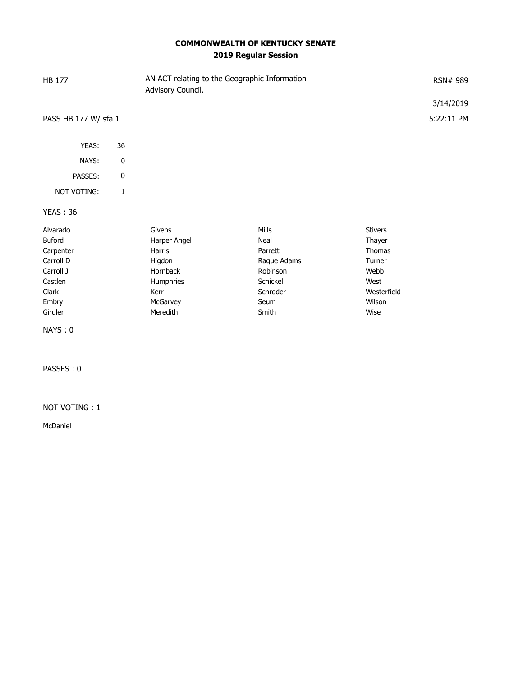# **COMMONWEALTH OF KENTUCKY SENATE 2019 Regular Session**

| <b>HB 177</b>        |             | Advisory Council. | AN ACT relating to the Geographic Information |                | RSN# 989   |
|----------------------|-------------|-------------------|-----------------------------------------------|----------------|------------|
|                      |             |                   |                                               |                | 3/14/2019  |
| PASS HB 177 W/ sfa 1 |             |                   |                                               |                | 5:22:11 PM |
| YEAS:                | 36          |                   |                                               |                |            |
| NAYS:                | 0           |                   |                                               |                |            |
| PASSES:              | $\pmb{0}$   |                   |                                               |                |            |
| NOT VOTING:          | $\mathbf 1$ |                   |                                               |                |            |
| <b>YEAS: 36</b>      |             |                   |                                               |                |            |
| Alvarado             |             | Givens            | <b>Mills</b>                                  | <b>Stivers</b> |            |
| Buford               |             | Harper Angel      | Neal                                          | Thayer         |            |
| Carpenter            |             | Harris            | Parrett                                       | <b>Thomas</b>  |            |
| Carroll D            |             | Higdon            | Raque Adams                                   | Turner         |            |
| Carroll J            |             | Hornback          | Robinson                                      | Webb           |            |
| Castlen              |             | Humphries         | Schickel                                      | West           |            |
| Clark                |             | Kerr              | Schroder                                      | Westerfield    |            |
| Embry                |             | McGarvey          | Seum                                          | Wilson         |            |
| Girdler              |             | Meredith          | Smith                                         | Wise           |            |
| NAYS: 0              |             |                   |                                               |                |            |

PASSES : 0

#### NOT VOTING : 1

McDaniel